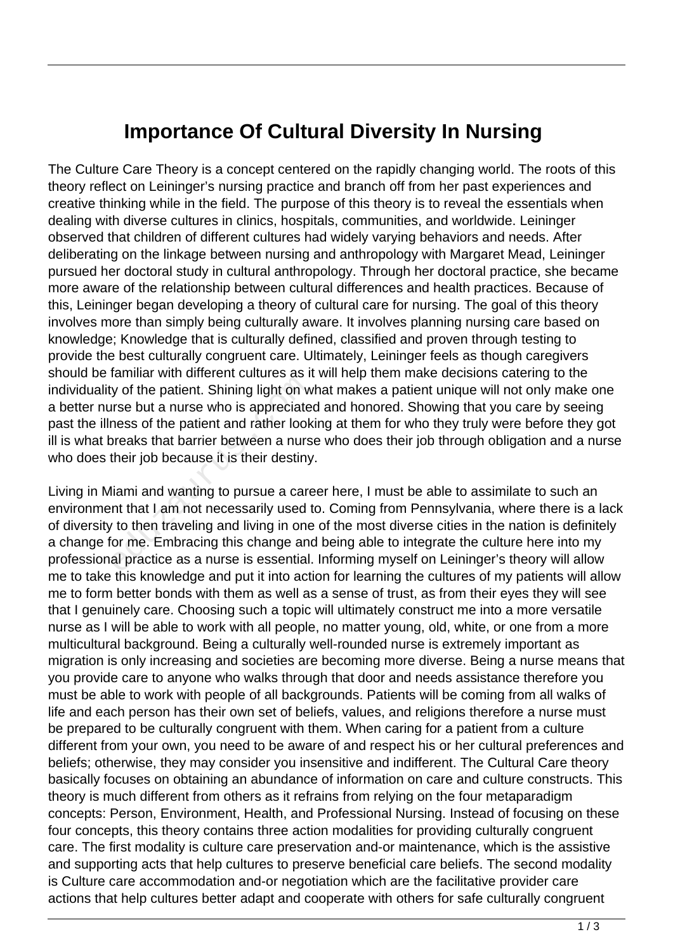## **Importance Of Cultural Diversity In Nursing**

The Culture Care Theory is a concept centered on the rapidly changing world. The roots of this theory reflect on Leininger's nursing practice and branch off from her past experiences and creative thinking while in the field. The purpose of this theory is to reveal the essentials when dealing with diverse cultures in clinics, hospitals, communities, and worldwide. Leininger observed that children of different cultures had widely varying behaviors and needs. After deliberating on the linkage between nursing and anthropology with Margaret Mead, Leininger pursued her doctoral study in cultural anthropology. Through her doctoral practice, she became more aware of the relationship between cultural differences and health practices. Because of this, Leininger began developing a theory of cultural care for nursing. The goal of this theory involves more than simply being culturally aware. It involves planning nursing care based on knowledge; Knowledge that is culturally defined, classified and proven through testing to provide the best culturally congruent care. Ultimately, Leininger feels as though caregivers should be familiar with different cultures as it will help them make decisions catering to the individuality of the patient. Shining light on what makes a patient unique will not only make one a better nurse but a nurse who is appreciated and honored. Showing that you care by seeing past the illness of the patient and rather looking at them for who they truly were before they got ill is what breaks that barrier between a nurse who does their job through obligation and a nurse who does their job because it is their destiny.

Living in Miami and wanting to pursue a career here, I must be able to assimilate to such an environment that I am not necessarily used to. Coming from Pennsylvania, where there is a lack of diversity to then traveling and living in one of the most diverse cities in the nation is definitely a change for me. Embracing this change and being able to integrate the culture here into my professional practice as a nurse is essential. Informing myself on Leininger's theory will allow me to take this knowledge and put it into action for learning the cultures of my patients will allow me to form better bonds with them as well as a sense of trust, as from their eyes they will see that I genuinely care. Choosing such a topic will ultimately construct me into a more versatile nurse as I will be able to work with all people, no matter young, old, white, or one from a more multicultural background. Being a culturally well-rounded nurse is extremely important as migration is only increasing and societies are becoming more diverse. Being a nurse means that you provide care to anyone who walks through that door and needs assistance therefore you must be able to work with people of all backgrounds. Patients will be coming from all walks of life and each person has their own set of beliefs, values, and religions therefore a nurse must be prepared to be culturally congruent with them. When caring for a patient from a culture different from your own, you need to be aware of and respect his or her cultural preferences and beliefs; otherwise, they may consider you insensitive and indifferent. The Cultural Care theory basically focuses on obtaining an abundance of information on care and culture constructs. This theory is much different from others as it refrains from relying on the four metaparadigm concepts: Person, Environment, Health, and Professional Nursing. Instead of focusing on these four concepts, this theory contains three action modalities for providing culturally congruent care. The first modality is culture care preservation and-or maintenance, which is the assistive and supporting acts that help cultures to preserve beneficial care beliefs. The second modality is Culture care accommodation and-or negotiation which are the facilitative provider care actions that help cultures better adapt and cooperate with others for safe culturally congruent but the patient. Shining light on whise but a nurse who is appreciate<br>ness of the patient and rather look<br>preaks that barrier between a nurs<br>their job because it is their destiny<br>liami and wanting to pursue a care<br>nt that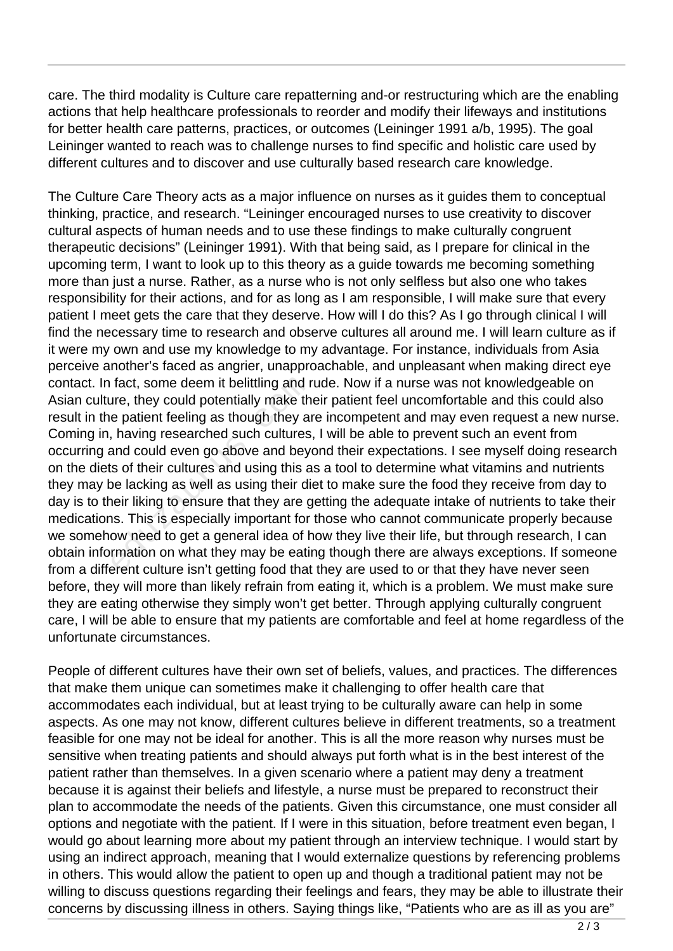care. The third modality is Culture care repatterning and-or restructuring which are the enabling actions that help healthcare professionals to reorder and modify their lifeways and institutions for better health care patterns, practices, or outcomes (Leininger 1991 a/b, 1995). The goal Leininger wanted to reach was to challenge nurses to find specific and holistic care used by different cultures and to discover and use culturally based research care knowledge.

The Culture Care Theory acts as a major influence on nurses as it guides them to conceptual thinking, practice, and research. "Leininger encouraged nurses to use creativity to discover cultural aspects of human needs and to use these findings to make culturally congruent therapeutic decisions" (Leininger 1991). With that being said, as I prepare for clinical in the upcoming term, I want to look up to this theory as a guide towards me becoming something more than just a nurse. Rather, as a nurse who is not only selfless but also one who takes responsibility for their actions, and for as long as I am responsible, I will make sure that every patient I meet gets the care that they deserve. How will I do this? As I go through clinical I will find the necessary time to research and observe cultures all around me. I will learn culture as if it were my own and use my knowledge to my advantage. For instance, individuals from Asia perceive another's faced as angrier, unapproachable, and unpleasant when making direct eye contact. In fact, some deem it belittling and rude. Now if a nurse was not knowledgeable on Asian culture, they could potentially make their patient feel uncomfortable and this could also result in the patient feeling as though they are incompetent and may even request a new nurse. Coming in, having researched such cultures, I will be able to prevent such an event from occurring and could even go above and beyond their expectations. I see myself doing research on the diets of their cultures and using this as a tool to determine what vitamins and nutrients they may be lacking as well as using their diet to make sure the food they receive from day to day is to their liking to ensure that they are getting the adequate intake of nutrients to take their medications. This is especially important for those who cannot communicate properly because we somehow need to get a general idea of how they live their life, but through research, I can obtain information on what they may be eating though there are always exceptions. If someone from a different culture isn't getting food that they are used to or that they have never seen before, they will more than likely refrain from eating it, which is a problem. We must make sure they are eating otherwise they simply won't get better. Through applying culturally congruent care, I will be able to ensure that my patients are comfortable and feel at home regardless of the unfortunate circumstances. fact, some deem it belittling and r<br>ure, they could potentially make th<br>e patient feeling as though they an<br>, having researched such cultures<br>and could even go above and bey<br>s of their cultures and using this a<br>be lacking

People of different cultures have their own set of beliefs, values, and practices. The differences that make them unique can sometimes make it challenging to offer health care that accommodates each individual, but at least trying to be culturally aware can help in some aspects. As one may not know, different cultures believe in different treatments, so a treatment feasible for one may not be ideal for another. This is all the more reason why nurses must be sensitive when treating patients and should always put forth what is in the best interest of the patient rather than themselves. In a given scenario where a patient may deny a treatment because it is against their beliefs and lifestyle, a nurse must be prepared to reconstruct their plan to accommodate the needs of the patients. Given this circumstance, one must consider all options and negotiate with the patient. If I were in this situation, before treatment even began, I would go about learning more about my patient through an interview technique. I would start by using an indirect approach, meaning that I would externalize questions by referencing problems in others. This would allow the patient to open up and though a traditional patient may not be willing to discuss questions regarding their feelings and fears, they may be able to illustrate their concerns by discussing illness in others. Saying things like, "Patients who are as ill as you are"